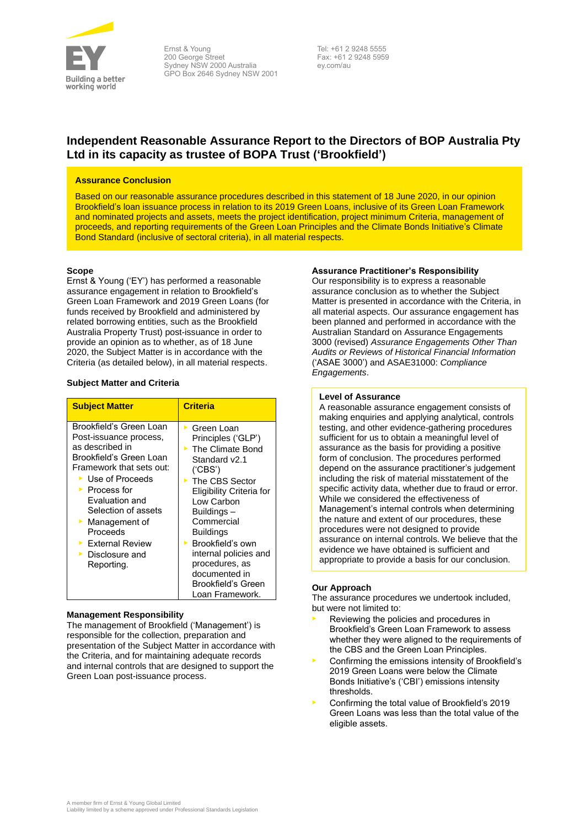

Ernst & Young 200 George Street Sydney NSW 2000 Australia GPO Box 2646 Sydney NSW 2001 Tel: +61 2 9248 5555 Fax: +61 2 9248 5959 ey.com/au

## **Independent Reasonable Assurance Report to the Directors of BOP Australia Pty Ltd in its capacity as trustee of BOPA Trust ('Brookfield')**

### **Assurance Conclusion**

Based on our reasonable assurance procedures described in this statement of 18 June 2020, in our opinion Brookfield's loan issuance process in relation to its 2019 Green Loans, inclusive of its Green Loan Framework and nominated projects and assets, meets the project identification, project minimum Criteria, management of proceeds, and reporting requirements of the Green Loan Principles and the Climate Bonds Initiative's Climate Bond Standard (inclusive of sectoral criteria), in all material respects.

#### **Scope**

Ernst & Young ('EY') has performed a reasonable assurance engagement in relation to Brookfield's Green Loan Framework and 2019 Green Loans (for funds received by Brookfield and administered by related borrowing entities, such as the Brookfield Australia Property Trust) post-issuance in order to provide an opinion as to whether, as of 18 June 2020, the Subject Matter is in accordance with the Criteria (as detailed below), in all material respects.

### **Subject Matter and Criteria**

| <b>Subject Matter</b>                                                                                                                                                                                                                                                                                                                                                            | <b>Criteria</b>                                                                                                                                                                                                                                                                                                                                                      |
|----------------------------------------------------------------------------------------------------------------------------------------------------------------------------------------------------------------------------------------------------------------------------------------------------------------------------------------------------------------------------------|----------------------------------------------------------------------------------------------------------------------------------------------------------------------------------------------------------------------------------------------------------------------------------------------------------------------------------------------------------------------|
| Brookfield's Green Loan<br>Post-issuance process,<br>as described in<br>Brookfield's Green Loan<br>Framework that sets out:<br>$\blacktriangleright$ Use of Proceeds<br>$\blacktriangleright$ Process for<br><b>Fvaluation and</b><br>Selection of assets<br>Management of<br>Proceeds<br>$\blacktriangleright$ External Review<br>$\triangleright$ Disclosure and<br>Reporting. | $\blacktriangleright$ Green Loan<br>Principles ('GLP')<br>$\triangleright$ The Climate Bond<br>Standard v2.1<br>('CBS')<br>▶ The CBS Sector<br>Eligibility Criteria for<br>Low Carbon<br>Buildings-<br>Commercial<br><b>Buildings</b><br>Brookfield's own<br>ъ.<br>internal policies and<br>procedures, as<br>documented in<br>Brookfield's Green<br>Loan Framework. |

#### **Management Responsibility**

The management of Brookfield ('Management') is responsible for the collection, preparation and presentation of the Subject Matter in accordance with the Criteria, and for maintaining adequate records and internal controls that are designed to support the Green Loan post-issuance process.

#### **Assurance Practitioner's Responsibility**

Our responsibility is to express a reasonable assurance conclusion as to whether the Subject Matter is presented in accordance with the Criteria, in all material aspects. Our assurance engagement has been planned and performed in accordance with the Australian Standard on Assurance Engagements 3000 (revised) *Assurance Engagements Other Than Audits or Reviews of Historical Financial Information* ('ASAE 3000') and ASAE31000: *Compliance Engagements*.

#### **Level of Assurance**

A reasonable assurance engagement consists of making enquiries and applying analytical, controls testing, and other evidence-gathering procedures sufficient for us to obtain a meaningful level of assurance as the basis for providing a positive form of conclusion. The procedures performed depend on the assurance practitioner's judgement including the risk of material misstatement of the specific activity data, whether due to fraud or error. While we considered the effectiveness of Management's internal controls when determining the nature and extent of our procedures, these procedures were not designed to provide assurance on internal controls. We believe that the evidence we have obtained is sufficient and appropriate to provide a basis for our conclusion.

### **Our Approach**

The assurance procedures we undertook included, but were not limited to:

- Reviewing the policies and procedures in Brookfield's Green Loan Framework to assess whether they were aligned to the requirements of the CBS and the Green Loan Principles.
- Confirming the emissions intensity of Brookfield's 2019 Green Loans were below the Climate Bonds Initiative's ('CBI') emissions intensity thresholds.
- Confirming the total value of Brookfield's 2019 Green Loans was less than the total value of the eligible assets.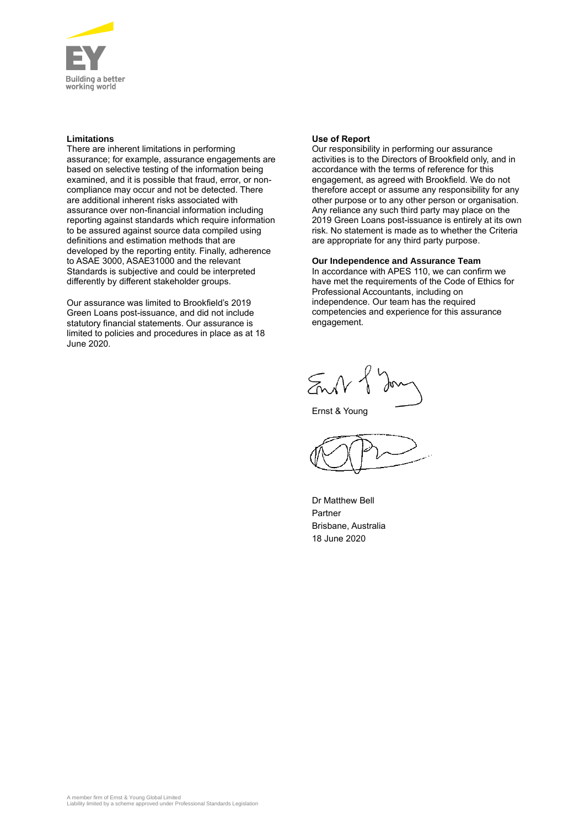

## **Limitations**

There are inherent limitations in performing assurance; for example, assurance engagements are based on selective testing of the information being examined, and it is possible that fraud, error, or noncompliance may occur and not be detected. There are additional inherent risks associated with assurance over non-financial information including reporting against standards which require information to be assured against source data compiled using definitions and estimation methods that are developed by the reporting entity. Finally, adherence to ASAE 3000, ASAE31000 and the relevant Standards is subjective and could be interpreted differently by different stakeholder groups.

Our assurance was limited to Brookfield's 2019 Green Loans post-issuance, and did not include statutory financial statements. Our assurance is limited to policies and procedures in place as at 18 June 2020.

### **Use of Report**

Our responsibility in performing our assurance activities is to the Directors of Brookfield only, and in accordance with the terms of reference for this engagement, as agreed with Brookfield. We do not therefore accept or assume any responsibility for any other purpose or to any other person or organisation. Any reliance any such third party may place on the 2019 Green Loans post-issuance is entirely at its own risk. No statement is made as to whether the Criteria are appropriate for any third party purpose.

### **Our Independence and Assurance Team**

In accordance with APES 110, we can confirm we have met the requirements of the Code of Ethics for Professional Accountants, including on independence. Our team has the required competencies and experience for this assurance engagement.

 $5 M$ 

Ernst & Young

Dr Matthew Bell Partner Brisbane, Australia 18 June 2020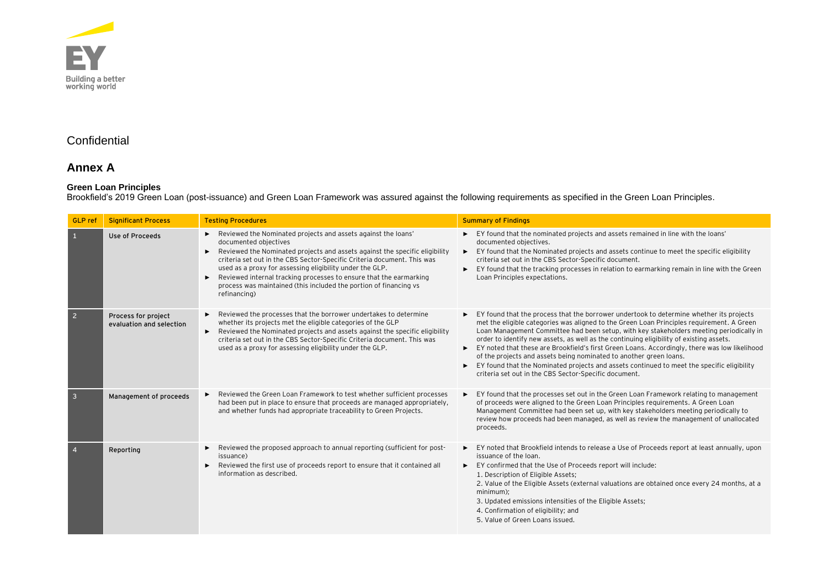

# **Confidential**

## **Annex A**

### **Green Loan Principles**

Brookfield's 2019 Green Loan (post-issuance) and Green Loan Framework was assured against the following requirements as specified in the Green Loan Principles.

| <b>GLP</b> ref          | <b>Significant Process</b>                      | <b>Testing Procedures</b>                                                                                                                                                                                                                                                                                                                                                                                                                                                                        | <b>Summary of Findings</b>                                                                                                                                                                                                                                                                                                                                                                                                                                                                                                                                                                                                                                                                                    |
|-------------------------|-------------------------------------------------|--------------------------------------------------------------------------------------------------------------------------------------------------------------------------------------------------------------------------------------------------------------------------------------------------------------------------------------------------------------------------------------------------------------------------------------------------------------------------------------------------|---------------------------------------------------------------------------------------------------------------------------------------------------------------------------------------------------------------------------------------------------------------------------------------------------------------------------------------------------------------------------------------------------------------------------------------------------------------------------------------------------------------------------------------------------------------------------------------------------------------------------------------------------------------------------------------------------------------|
| $\mathbf{1}$            | Use of Proceeds                                 | Reviewed the Nominated projects and assets against the loans'<br>documented objectives<br>Reviewed the Nominated projects and assets against the specific eligibility<br>$\blacktriangleright$<br>criteria set out in the CBS Sector-Specific Criteria document. This was<br>used as a proxy for assessing eligibility under the GLP.<br>Reviewed internal tracking processes to ensure that the earmarking<br>process was maintained (this included the portion of financing vs<br>refinancing) | EY found that the nominated projects and assets remained in line with the loans'<br>documented objectives.<br>EY found that the Nominated projects and assets continue to meet the specific eligibility<br>►<br>criteria set out in the CBS Sector-Specific document.<br>EY found that the tracking processes in relation to earmarking remain in line with the Green<br>$\blacktriangleright$<br>Loan Principles expectations.                                                                                                                                                                                                                                                                               |
| $\overline{2}$          | Process for project<br>evaluation and selection | Reviewed the processes that the borrower undertakes to determine<br>whether its projects met the eligible categories of the GLP<br>Reviewed the Nominated projects and assets against the specific eligibility<br>criteria set out in the CBS Sector-Specific Criteria document. This was<br>used as a proxy for assessing eligibility under the GLP.                                                                                                                                            | EY found that the process that the borrower undertook to determine whether its projects<br>met the eligible categories was aligned to the Green Loan Principles requirement. A Green<br>Loan Management Committee had been setup, with key stakeholders meeting periodically in<br>order to identify new assets, as well as the continuing eligibility of existing assets.<br>EY noted that these are Brookfield's first Green Loans. Accordingly, there was low likelihood<br>▶<br>of the projects and assets being nominated to another green loans.<br>EY found that the Nominated projects and assets continued to meet the specific eligibility<br>criteria set out in the CBS Sector-Specific document. |
| $\overline{\mathbf{3}}$ | Management of proceeds                          | Reviewed the Green Loan Framework to test whether sufficient processes<br>had been put in place to ensure that proceeds are managed appropriately,<br>and whether funds had appropriate traceability to Green Projects.                                                                                                                                                                                                                                                                          | EY found that the processes set out in the Green Loan Framework relating to management<br>of proceeds were aligned to the Green Loan Principles requirements. A Green Loan<br>Management Committee had been set up, with key stakeholders meeting periodically to<br>review how proceeds had been managed, as well as review the management of unallocated<br>proceeds.                                                                                                                                                                                                                                                                                                                                       |
|                         | Reporting                                       | Reviewed the proposed approach to annual reporting (sufficient for post-<br>▶<br>issuance)<br>Reviewed the first use of proceeds report to ensure that it contained all<br>information as described.                                                                                                                                                                                                                                                                                             | EY noted that Brookfield intends to release a Use of Proceeds report at least annually, upon<br>▶<br>issuance of the loan.<br>EY confirmed that the Use of Proceeds report will include:<br>►<br>1. Description of Eligible Assets;<br>2. Value of the Eligible Assets (external valuations are obtained once every 24 months, at a<br>minimum);<br>3. Updated emissions intensities of the Eligible Assets;<br>4. Confirmation of eligibility; and<br>5. Value of Green Loans issued.                                                                                                                                                                                                                        |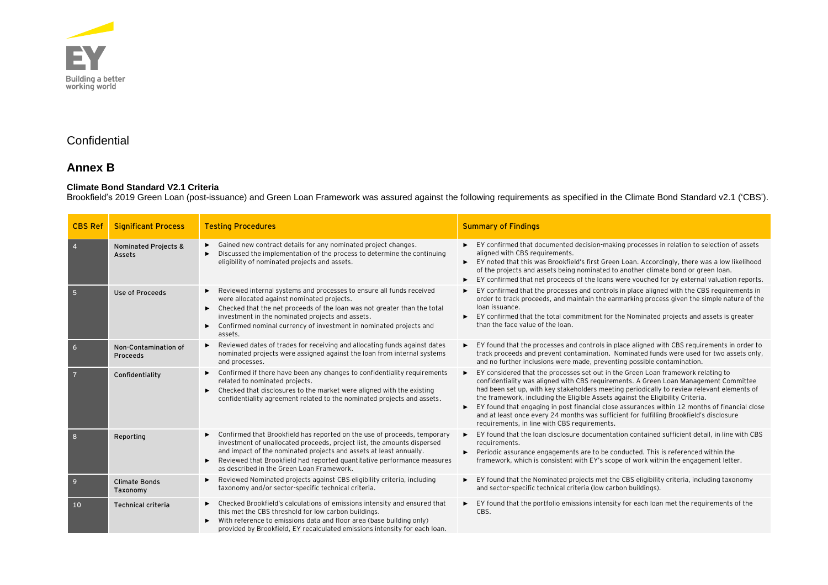

# **Confidential**

# **Annex B**

## **Climate Bond Standard V2.1 Criteria**

Brookfield's 2019 Green Loan (post-issuance) and Green Loan Framework was assured against the following requirements as specified in the Climate Bond Standard v2.1 ('CBS').

| <b>CBS Ref</b> | <b>Significant Process</b>       | <b>Testing Procedures</b>                                                                                                                                                                                                                                                                                                                         | <b>Summary of Findings</b>                                                                                                                                                                                                                                                                                                                                                                                                                                                                                                                                                                                      |
|----------------|----------------------------------|---------------------------------------------------------------------------------------------------------------------------------------------------------------------------------------------------------------------------------------------------------------------------------------------------------------------------------------------------|-----------------------------------------------------------------------------------------------------------------------------------------------------------------------------------------------------------------------------------------------------------------------------------------------------------------------------------------------------------------------------------------------------------------------------------------------------------------------------------------------------------------------------------------------------------------------------------------------------------------|
| $\overline{4}$ | Nominated Projects &<br>Assets   | Gained new contract details for any nominated project changes.<br>Discussed the implementation of the process to determine the continuing<br>eligibility of nominated projects and assets.                                                                                                                                                        | EY confirmed that documented decision-making processes in relation to selection of assets<br>aligned with CBS requirements.<br>EY noted that this was Brookfield's first Green Loan. Accordingly, there was a low likelihood<br>of the projects and assets being nominated to another climate bond or green loan.<br>EY confirmed that net proceeds of the loans were vouched for by external valuation reports.                                                                                                                                                                                                |
| 5              | Use of Proceeds                  | Reviewed internal systems and processes to ensure all funds received<br>were allocated against nominated projects.<br>Checked that the net proceeds of the loan was not greater than the total<br>investment in the nominated projects and assets.<br>Confirmed nominal currency of investment in nominated projects and<br>assets.               | EY confirmed that the processes and controls in place aligned with the CBS requirements in<br>order to track proceeds, and maintain the earmarking process given the simple nature of the<br>loan issuance.<br>EY confirmed that the total commitment for the Nominated projects and assets is greater<br>►<br>than the face value of the loan.                                                                                                                                                                                                                                                                 |
| 6              | Non-Contamination of<br>Proceeds | Reviewed dates of trades for receiving and allocating funds against dates<br>nominated projects were assigned against the loan from internal systems<br>and processes.                                                                                                                                                                            | EY found that the processes and controls in place aligned with CBS requirements in order to<br>track proceeds and prevent contamination. Nominated funds were used for two assets only,<br>and no further inclusions were made, preventing possible contamination.                                                                                                                                                                                                                                                                                                                                              |
| $\overline{7}$ | Confidentiality                  | Confirmed if there have been any changes to confidentiality requirements<br>related to nominated projects.<br>Checked that disclosures to the market were aligned with the existing<br>confidentiality agreement related to the nominated projects and assets.                                                                                    | EY considered that the processes set out in the Green Loan framework relating to<br>×.<br>confidentiality was aligned with CBS requirements. A Green Loan Management Committee<br>had been set up, with key stakeholders meeting periodically to review relevant elements of<br>the framework, including the Eligible Assets against the Eligibility Criteria.<br>EY found that engaging in post financial close assurances within 12 months of financial close<br>►<br>and at least once every 24 months was sufficient for fulfilling Brookfield's disclosure<br>requirements, in line with CBS requirements. |
| 8              | Reporting                        | Confirmed that Brookfield has reported on the use of proceeds, temporary<br>investment of unallocated proceeds, project list, the amounts dispersed<br>and impact of the nominated projects and assets at least annually.<br>Reviewed that Brookfield had reported quantitative performance measures<br>as described in the Green Loan Framework. | EY found that the loan disclosure documentation contained sufficient detail, in line with CBS<br>►<br>requirements.<br>Periodic assurance engagements are to be conducted. This is referenced within the<br>►<br>framework, which is consistent with EY's scope of work within the engagement letter.                                                                                                                                                                                                                                                                                                           |
| $\overline{9}$ | <b>Climate Bonds</b><br>Taxonomy | Reviewed Nominated projects against CBS eligibility criteria, including<br>taxonomy and/or sector-specific technical criteria.                                                                                                                                                                                                                    | EY found that the Nominated projects met the CBS eligibility criteria, including taxonomy<br>►<br>and sector-specific technical criteria (low carbon buildings).                                                                                                                                                                                                                                                                                                                                                                                                                                                |
| 10             | <b>Technical criteria</b>        | Checked Brookfield's calculations of emissions intensity and ensured that<br>this met the CBS threshold for low carbon buildings.<br>With reference to emissions data and floor area (base building only)<br>provided by Brookfield, EY recalculated emissions intensity for each loan.                                                           | EY found that the portfolio emissions intensity for each loan met the requirements of the<br>CBS.                                                                                                                                                                                                                                                                                                                                                                                                                                                                                                               |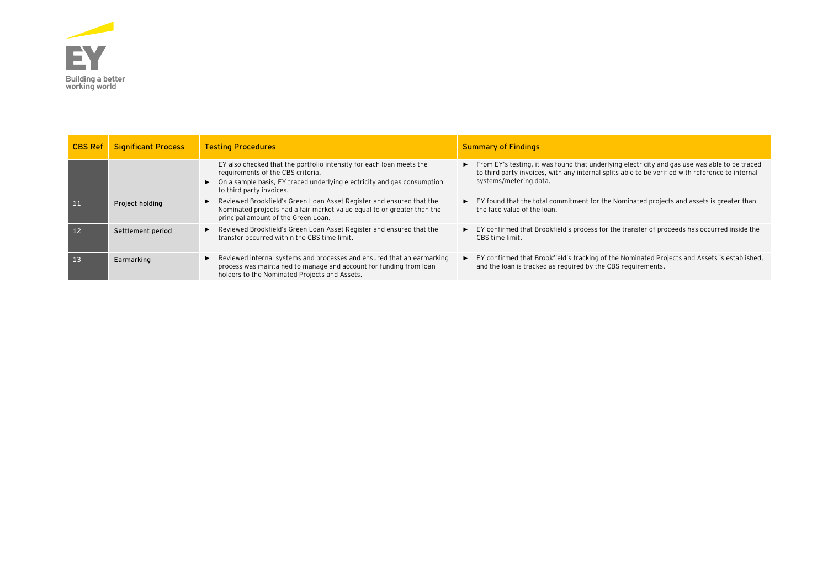

| <b>CBS Ref</b>  | <b>Significant Process</b> | <b>Testing Procedures</b>                                                                                                                                                                                                         | <b>Summary of Findings</b>                                                                                                                                                                                                  |
|-----------------|----------------------------|-----------------------------------------------------------------------------------------------------------------------------------------------------------------------------------------------------------------------------------|-----------------------------------------------------------------------------------------------------------------------------------------------------------------------------------------------------------------------------|
|                 |                            | EY also checked that the portfolio intensity for each loan meets the<br>requirements of the CBS criteria.<br>$\triangleright$ On a sample basis, EY traced underlying electricity and gas consumption<br>to third party invoices. | From EY's testing, it was found that underlying electricity and gas use was able to be traced<br>to third party invoices, with any internal splits able to be verified with reference to internal<br>systems/metering data. |
| $\blacksquare$  | Project holding            | Reviewed Brookfield's Green Loan Asset Register and ensured that the<br>Nominated projects had a fair market value equal to or greater than the<br>principal amount of the Green Loan.                                            | EY found that the total commitment for the Nominated projects and assets is greater than<br>$\blacktriangleright$<br>the face value of the loan.                                                                            |
| 12 <sub>1</sub> | Settlement period          | Reviewed Brookfield's Green Loan Asset Register and ensured that the<br>transfer occurred within the CBS time limit.                                                                                                              | EY confirmed that Brookfield's process for the transfer of proceeds has occurred inside the<br>CBS time limit.                                                                                                              |
| 13              | Earmarking                 | ► Reviewed internal systems and processes and ensured that an earmarking<br>process was maintained to manage and account for funding from loan<br>holders to the Nominated Projects and Assets.                                   | EY confirmed that Brookfield's tracking of the Nominated Projects and Assets is established,<br>▶<br>and the loan is tracked as required by the CBS requirements.                                                           |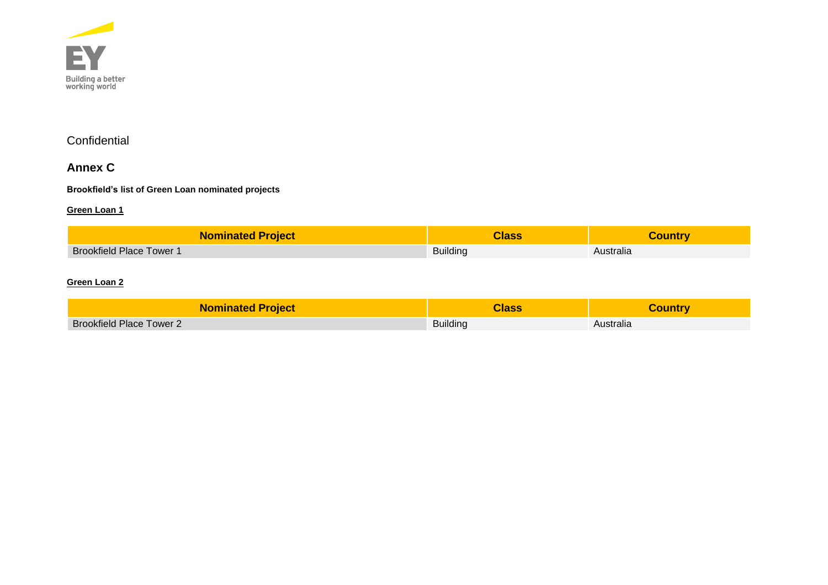

# **Confidential**

# **Annex C**

### **Brookfield's list of Green Loan nominated projects**

### **Green Loan 1**

| <b>Nominated Project</b>        | <b>Hass</b>     |           |
|---------------------------------|-----------------|-----------|
| <b>Brookfield Place Tower 1</b> | <b>Building</b> | Australia |

## **Green Loan 2**

| <b>Nominated Project</b>        | Class           | ;ountrv   |
|---------------------------------|-----------------|-----------|
| <b>Brookfield Place Tower 2</b> | <b>Building</b> | Australia |